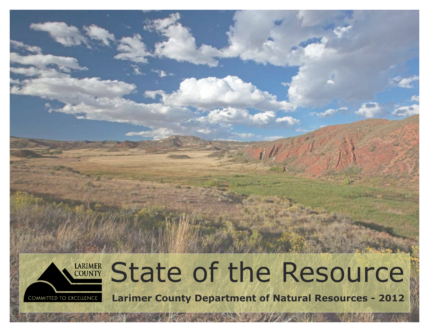

# LARIMER State of the Resource

**Larimer County Department of Natural Resources - 2012**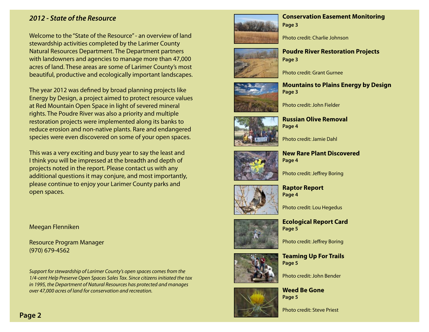#### *2012 - State of the Resource*

Welcome to the "State of the Resource" - an overview of land stewardship activities completed by the Larimer County Natural Resources Department. The Department partners with landowners and agencies to manage more than 47,000 acres of land. These areas are some of Larimer County's most beautiful, productive and ecologically important landscapes.

The year 2012 was defned by broad planning projects like Energy by Design, a project aimed to protect resource values at Red Mountain Open Space in light of severed mineral rights. The Poudre River was also a priority and multiple restoration projects were implemented along its banks to reduce erosion and non-native plants. Rare and endangered species were even discovered on some of your open spaces.

This was a very exciting and busy year to say the least and I think you will be impressed at the breadth and depth of projects noted in the report. Please contact us with any additional questions it may conjure, and most importantly, please continue to enjoy your Larimer County parks and open spaces.

Meegan Flenniken

Resource Program Manager (970) 679-4562

*Support for stewardship of Larimer County's open spaces comes from the 1/4-cent Help Preserve Open Spaces Sales Tax. Since citizens initiated the tax in 1995, the Department of Natural Resources has protected and manages over 47,000 acres of land for conservation and recreation.* 



#### **Conservation Easement Monitoring Page 3**





**Poudre River Restoration Projects Page 3** 







**Russian Olive Removal Page 4** 

Photo credit: Jamie Dahl

**New Rare Plant Discovered Page 4** 

Photo credit: Jefrey Boring



**Raptor Report Page 4** 

Photo credit: Lou Hegedus





Photo credit: Jefrey Boring



Photo credit: John Bender



**Weed Be Gone Page 5** 

Photo credit: Steve Priest

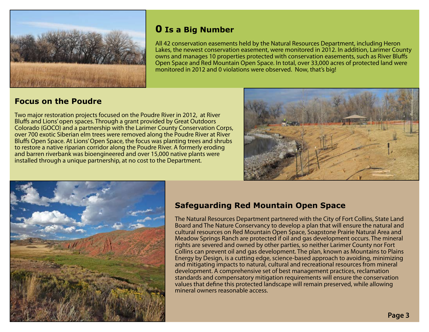

## **0 Is a Big Number**

All 42 conservation easements held by the Natural Resources Department, including Heron Lakes, the newest conservation easement, were monitored in 2012. In addition, Larimer County owns and manages 10 properties protected with conservation easements, such as River Blufs Open Space and Red Mountain Open Space. In total, over 33,000 acres of protected land were monitored in 2012 and 0 violations were observed. Now, that's big!

## **Focus on the Poudre**

Two major restoration projects focused on the Poudre River in 2012, at River Blufs and Lions' open spaces. Through a grant provided by Great Outdoors Colorado (GOCO) and a partnership with the Larimer County Conservation Corps, over 700 exotic Siberian elm trees were removed along the Poudre River at River Blufs Open Space. At Lions' Open Space, the focus was planting trees and shrubs to restore a native riparian corridor along the Poudre River. A formerly eroding and barren riverbank was bioengineered and over 15,000 native plants were installed through a unique partnership, at no cost to the Department.





## **Safeguarding Red Mountain Open Space**

The Natural Resources Department partnered with the City of Fort Collins, State Land Board and The Nature Conservancy to develop a plan that will ensure the natural and cultural resources on Red Mountain Open Space, Soapstone Prairie Natural Area and Meadow Springs Ranch are protected if oil and gas development occurs. The mineral rights are severed and owned by other parties, so neither Larimer County nor Fort Collins can prevent oil and gas development. The plan, known as Mountains to Plains Energy by Design, is a cutting edge, science-based approach to avoiding, minimizing and mitigating impacts to natural, cultural and recreational resources from mineral development. A comprehensive set of best management practices, reclamation standards and compensatory mitigation requirements will ensure the conservation values that defne this protected landscape will remain preserved, while allowing mineral owners reasonable access.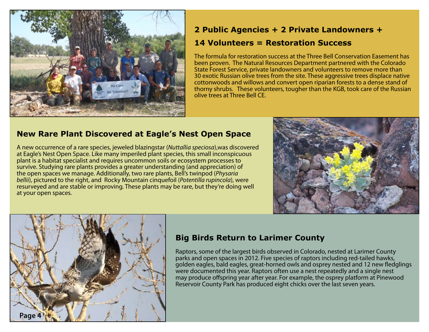

## **2 Public Agencies + 2 Private Landowners +**

### **14 Volunteers = Restoration Success**

The formula for restoration success at the Three Bell Conservation Easement has been proven. The Natural Resources Department partnered with the Colorado State Forest Service, private landowners and volunteers to remove more than 30 exotic Russian olive trees from the site. These aggressive trees displace native cottonwoods and willows and convert open riparian forests to a dense stand of thorny shrubs. These volunteers, tougher than the KGB, took care of the Russian olive trees at Three Bell CE.

## **New Rare Plant Discovered at Eagle's Nest Open Space**

A new occurrence of a rare species, jeweled blazingstar (*Nuttallia speciosa*),was discovered at Eagle's Nest Open Space. Like many imperiled plant species, this small inconspicuous plant is a habitat specialist and requires uncommon soils or ecosystem processes to survive. Studying rare plants provides a greater understanding (and appreciation) of the open spaces we manage. Additionally, two rare plants, Bell's twinpod (*Physaria bellii*), pictured to the right, and Rocky Mountain cinquefoil (*Potentilla rupincola*), were resurveyed and are stable or improving. These plants may be rare, but they're doing well at your open spaces.





## **Big Birds Return to Larimer County**

Raptors, some of the largest birds observed in Colorado, nested at Larimer County parks and open spaces in 2012. Five species of raptors including red-tailed hawks, golden eagles, bald eagles, great-horned owls and osprey nested and 12 new fedglings were documented this year. Raptors often use a nest repeatedly and a single nest may produce ofspring year after year. For example, the osprey platform at Pinewood Reservoir County Park has produced eight chicks over the last seven years.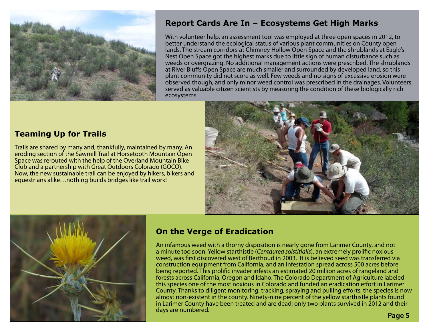

## **Report Cards Are In – Ecosystems Get High Marks**

With volunteer help, an assessment tool was employed at three open spaces in 2012, to better understand the ecological status of various plant communities on County open lands. The stream corridors at Chimney Hollow Open Space and the shrublands at Eagle's Nest Open Space got the highest marks due to little sign of human disturbance such as weeds or overgrazing. No additional management actions were prescribed. The shrublands at River Blufs Open Space are much smaller and surrounded by developed land, so this plant community did not score as well. Few weeds and no signs of excessive erosion were observed though, and only minor weed control was prescribed in the drainages. Volunteers served as valuable citizen scientists by measuring the condition of these biologically rich ecosystems.





Trails are shared by many and, thankfully, maintained by many. An eroding section of the Sawmill Trail at Horsetooth Mountain Open Space was rerouted with the help of the Overland Mountain Bike Club and a partnership with Great Outdoors Colorado (GOCO). Now, the new sustainable trail can be enjoyed by hikers, bikers and equestrians alike…nothing builds bridges like trail work!



## **On the Verge of Eradication**

An infamous weed with a thorny disposition is nearly gone from Larimer County, and not a minute too soon. Yellow starthistle (*Centaurea solstitialis*), an extremely prolifc noxious weed, was frst discovered west of Berthoud in 2003. It is believed seed was transferred via construction equipment from California, and an infestation spread across 500 acres before being reported. This prolifc invader infests an estimated 20 million acres of rangeland and forests across California, Oregon and Idaho. The Colorado Department of Agriculture labeled this species one of the most noxious in Colorado and funded an eradication efort in Larimer County. Thanks to diligent monitoring, tracking, spraying and pulling eforts, the species is now almost non-existent in the county. Ninety-nine percent of the yellow starthistle plants found in Larimer County have been treated and are dead; only two plants survived in 2012 and their days are numbered. **Page 5**